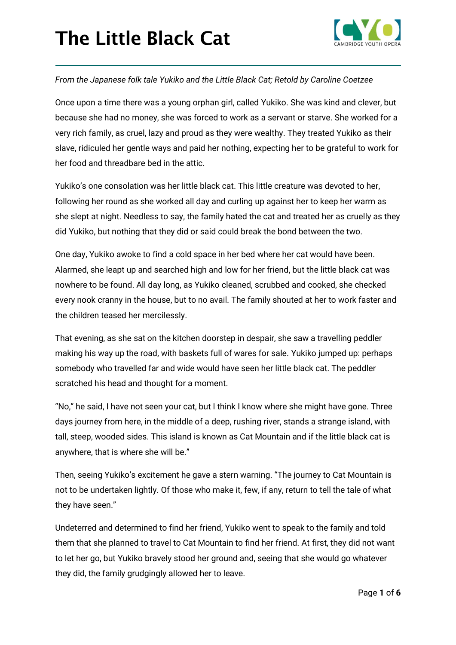

#### *From the Japanese folk tale Yukiko and the Little Black Cat; Retold by Caroline Coetzee*

Once upon a time there was a young orphan girl, called Yukiko. She was kind and clever, but because she had no money, she was forced to work as a servant or starve. She worked for a very rich family, as cruel, lazy and proud as they were wealthy. They treated Yukiko as their slave, ridiculed her gentle ways and paid her nothing, expecting her to be grateful to work for her food and threadbare bed in the attic.

Yukiko's one consolation was her little black cat. This little creature was devoted to her, following her round as she worked all day and curling up against her to keep her warm as she slept at night. Needless to say, the family hated the cat and treated her as cruelly as they did Yukiko, but nothing that they did or said could break the bond between the two.

One day, Yukiko awoke to find a cold space in her bed where her cat would have been. Alarmed, she leapt up and searched high and low for her friend, but the little black cat was nowhere to be found. All day long, as Yukiko cleaned, scrubbed and cooked, she checked every nook cranny in the house, but to no avail. The family shouted at her to work faster and the children teased her mercilessly.

That evening, as she sat on the kitchen doorstep in despair, she saw a travelling peddler making his way up the road, with baskets full of wares for sale. Yukiko jumped up: perhaps somebody who travelled far and wide would have seen her little black cat. The peddler scratched his head and thought for a moment.

"No," he said, I have not seen your cat, but I think I know where she might have gone. Three days journey from here, in the middle of a deep, rushing river, stands a strange island, with tall, steep, wooded sides. This island is known as Cat Mountain and if the little black cat is anywhere, that is where she will be."

Then, seeing Yukiko's excitement he gave a stern warning. "The journey to Cat Mountain is not to be undertaken lightly. Of those who make it, few, if any, return to tell the tale of what they have seen."

Undeterred and determined to find her friend, Yukiko went to speak to the family and told them that she planned to travel to Cat Mountain to find her friend. At first, they did not want to let her go, but Yukiko bravely stood her ground and, seeing that she would go whatever they did, the family grudgingly allowed her to leave.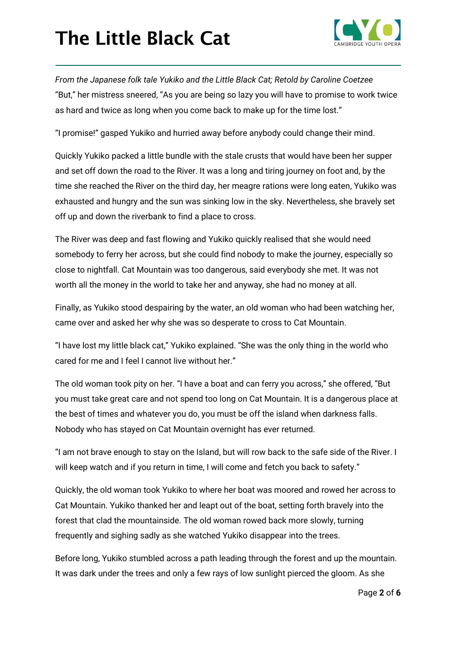

*From the Japanese folk tale Yukiko and the Little Black Cat; Retold by Caroline Coetzee* "But," her mistress sneered, "As you are being so lazy you will have to promise to work twice as hard and twice as long when you come back to make up for the time lost."

"I promise!" gasped Yukiko and hurried away before anybody could change their mind.

Quickly Yukiko packed a little bundle with the stale crusts that would have been her supper and set off down the road to the River. It was a long and tiring journey on foot and, by the time she reached the River on the third day, her meagre rations were long eaten, Yukiko was exhausted and hungry and the sun was sinking low in the sky. Nevertheless, she bravely set off up and down the riverbank to find a place to cross.

The River was deep and fast flowing and Yukiko quickly realised that she would need somebody to ferry her across, but she could find nobody to make the journey, especially so close to nightfall. Cat Mountain was too dangerous, said everybody she met. It was not worth all the money in the world to take her and anyway, she had no money at all.

Finally, as Yukiko stood despairing by the water, an old woman who had been watching her, came over and asked her why she was so desperate to cross to Cat Mountain.

"I have lost my little black cat," Yukiko explained. "She was the only thing in the world who cared for me and I feel I cannot live without her."

The old woman took pity on her. "I have a boat and can ferry you across," she offered, "But you must take great care and not spend too long on Cat Mountain. It is a dangerous place at the best of times and whatever you do, you must be off the island when darkness falls. Nobody who has stayed on Cat Mountain overnight has ever returned.

"I am not brave enough to stay on the Island, but will row back to the safe side of the River. I will keep watch and if you return in time, I will come and fetch you back to safety."

Quickly, the old woman took Yukiko to where her boat was moored and rowed her across to Cat Mountain. Yukiko thanked her and leapt out of the boat, setting forth bravely into the forest that clad the mountainside. The old woman rowed back more slowly, turning frequently and sighing sadly as she watched Yukiko disappear into the trees.

Before long, Yukiko stumbled across a path leading through the forest and up the mountain. It was dark under the trees and only a few rays of low sunlight pierced the gloom. As she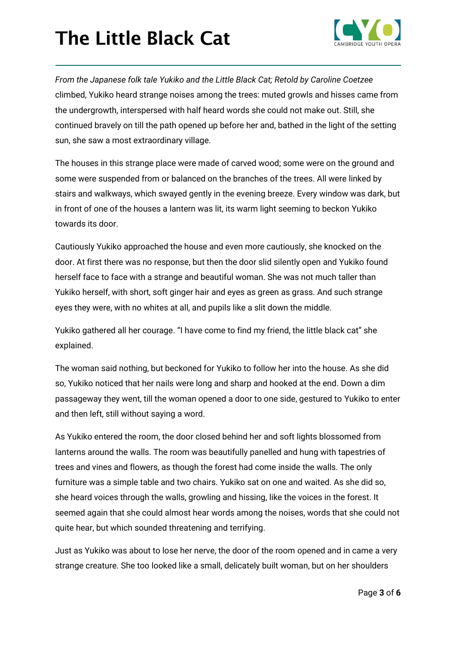

*From the Japanese folk tale Yukiko and the Little Black Cat; Retold by Caroline Coetzee* climbed, Yukiko heard strange noises among the trees: muted growls and hisses came from the undergrowth, interspersed with half heard words she could not make out. Still, she continued bravely on till the path opened up before her and, bathed in the light of the setting sun, she saw a most extraordinary village.

The houses in this strange place were made of carved wood; some were on the ground and some were suspended from or balanced on the branches of the trees. All were linked by stairs and walkways, which swayed gently in the evening breeze. Every window was dark, but in front of one of the houses a lantern was lit, its warm light seeming to beckon Yukiko towards its door.

Cautiously Yukiko approached the house and even more cautiously, she knocked on the door. At first there was no response, but then the door slid silently open and Yukiko found herself face to face with a strange and beautiful woman. She was not much taller than Yukiko herself, with short, soft ginger hair and eyes as green as grass. And such strange eyes they were, with no whites at all, and pupils like a slit down the middle.

Yukiko gathered all her courage. "I have come to find my friend, the little black cat" she explained.

The woman said nothing, but beckoned for Yukiko to follow her into the house. As she did so, Yukiko noticed that her nails were long and sharp and hooked at the end. Down a dim passageway they went, till the woman opened a door to one side, gestured to Yukiko to enter and then left, still without saying a word.

As Yukiko entered the room, the door closed behind her and soft lights blossomed from lanterns around the walls. The room was beautifully panelled and hung with tapestries of trees and vines and flowers, as though the forest had come inside the walls. The only furniture was a simple table and two chairs. Yukiko sat on one and waited. As she did so, she heard voices through the walls, growling and hissing, like the voices in the forest. It seemed again that she could almost hear words among the noises, words that she could not quite hear, but which sounded threatening and terrifying.

Just as Yukiko was about to lose her nerve, the door of the room opened and in came a very strange creature. She too looked like a small, delicately built woman, but on her shoulders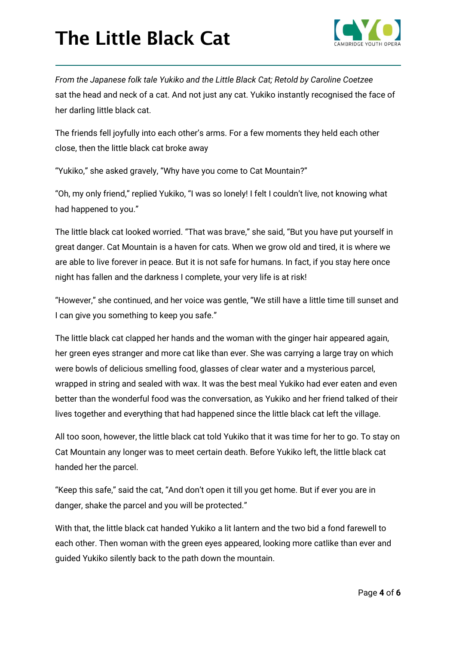

*From the Japanese folk tale Yukiko and the Little Black Cat; Retold by Caroline Coetzee* sat the head and neck of a cat. And not just any cat. Yukiko instantly recognised the face of her darling little black cat.

The friends fell joyfully into each other's arms. For a few moments they held each other close, then the little black cat broke away

"Yukiko," she asked gravely, "Why have you come to Cat Mountain?"

"Oh, my only friend," replied Yukiko, "I was so lonely! I felt I couldn't live, not knowing what had happened to you."

The little black cat looked worried. "That was brave," she said, "But you have put yourself in great danger. Cat Mountain is a haven for cats. When we grow old and tired, it is where we are able to live forever in peace. But it is not safe for humans. In fact, if you stay here once night has fallen and the darkness I complete, your very life is at risk!

"However," she continued, and her voice was gentle, "We still have a little time till sunset and I can give you something to keep you safe."

The little black cat clapped her hands and the woman with the ginger hair appeared again, her green eyes stranger and more cat like than ever. She was carrying a large tray on which were bowls of delicious smelling food, glasses of clear water and a mysterious parcel, wrapped in string and sealed with wax. It was the best meal Yukiko had ever eaten and even better than the wonderful food was the conversation, as Yukiko and her friend talked of their lives together and everything that had happened since the little black cat left the village.

All too soon, however, the little black cat told Yukiko that it was time for her to go. To stay on Cat Mountain any longer was to meet certain death. Before Yukiko left, the little black cat handed her the parcel.

"Keep this safe," said the cat, "And don't open it till you get home. But if ever you are in danger, shake the parcel and you will be protected."

With that, the little black cat handed Yukiko a lit lantern and the two bid a fond farewell to each other. Then woman with the green eyes appeared, looking more catlike than ever and guided Yukiko silently back to the path down the mountain.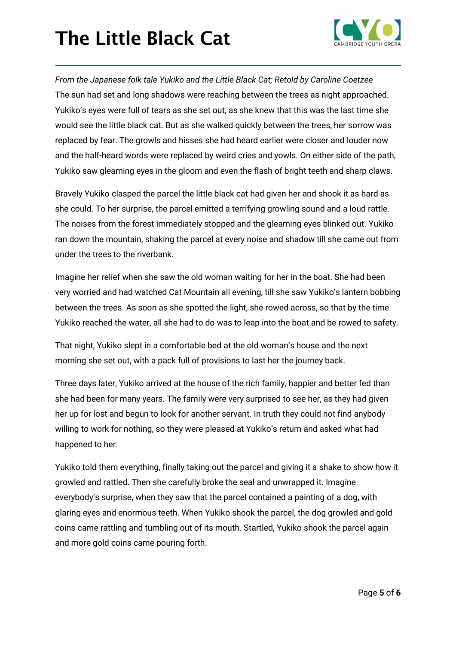

*From the Japanese folk tale Yukiko and the Little Black Cat; Retold by Caroline Coetzee* The sun had set and long shadows were reaching between the trees as night approached. Yukiko's eyes were full of tears as she set out, as she knew that this was the last time she would see the little black cat. But as she walked quickly between the trees, her sorrow was replaced by fear. The growls and hisses she had heard earlier were closer and louder now and the half-heard words were replaced by weird cries and yowls. On either side of the path, Yukiko saw gleaming eyes in the gloom and even the flash of bright teeth and sharp claws.

Bravely Yukiko clasped the parcel the little black cat had given her and shook it as hard as she could. To her surprise, the parcel emitted a terrifying growling sound and a loud rattle. The noises from the forest immediately stopped and the gleaming eyes blinked out. Yukiko ran down the mountain, shaking the parcel at every noise and shadow till she came out from under the trees to the riverbank.

Imagine her relief when she saw the old woman waiting for her in the boat. She had been very worried and had watched Cat Mountain all evening, till she saw Yukiko's lantern bobbing between the trees. As soon as she spotted the light, she rowed across, so that by the time Yukiko reached the water, all she had to do was to leap into the boat and be rowed to safety.

That night, Yukiko slept in a comfortable bed at the old woman's house and the next morning she set out, with a pack full of provisions to last her the journey back.

Three days later, Yukiko arrived at the house of the rich family, happier and better fed than she had been for many years. The family were very surprised to see her, as they had given her up for lost and begun to look for another servant. In truth they could not find anybody willing to work for nothing, so they were pleased at Yukiko's return and asked what had happened to her.

Yukiko told them everything, finally taking out the parcel and giving it a shake to show how it growled and rattled. Then she carefully broke the seal and unwrapped it. Imagine everybody's surprise, when they saw that the parcel contained a painting of a dog, with glaring eyes and enormous teeth. When Yukiko shook the parcel, the dog growled and gold coins came rattling and tumbling out of its mouth. Startled, Yukiko shook the parcel again and more gold coins came pouring forth.